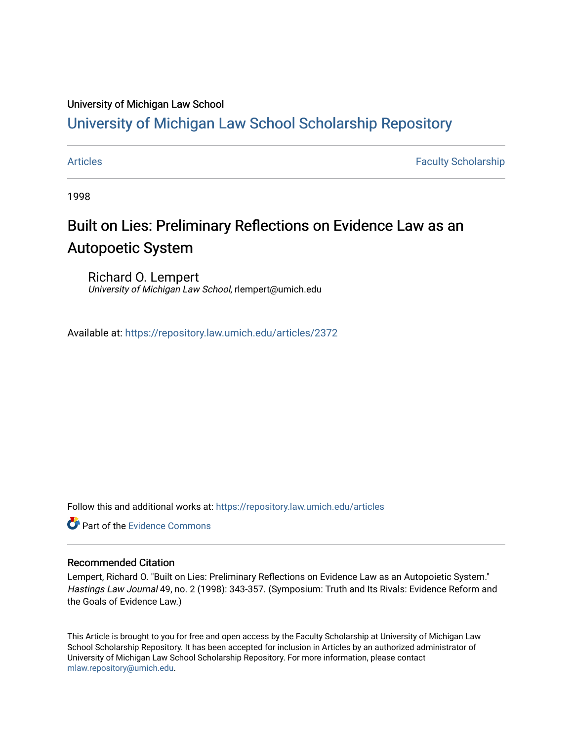### University of Michigan Law School

## [University of Michigan Law School Scholarship Repository](https://repository.law.umich.edu/)

[Articles](https://repository.law.umich.edu/articles) **Faculty Scholarship** Faculty Scholarship

1998

# Built on Lies: Preliminary Reflections on Evidence Law as an Autopoetic System

Richard O. Lempert University of Michigan Law School, rlempert@umich.edu

Available at: <https://repository.law.umich.edu/articles/2372>

Follow this and additional works at: [https://repository.law.umich.edu/articles](https://repository.law.umich.edu/articles?utm_source=repository.law.umich.edu%2Farticles%2F2372&utm_medium=PDF&utm_campaign=PDFCoverPages) 

**C** Part of the Evidence Commons

#### Recommended Citation

Lempert, Richard O. "Built on Lies: Preliminary Reflections on Evidence Law as an Autopoietic System." Hastings Law Journal 49, no. 2 (1998): 343-357. (Symposium: Truth and Its Rivals: Evidence Reform and the Goals of Evidence Law.)

This Article is brought to you for free and open access by the Faculty Scholarship at University of Michigan Law School Scholarship Repository. It has been accepted for inclusion in Articles by an authorized administrator of University of Michigan Law School Scholarship Repository. For more information, please contact [mlaw.repository@umich.edu.](mailto:mlaw.repository@umich.edu)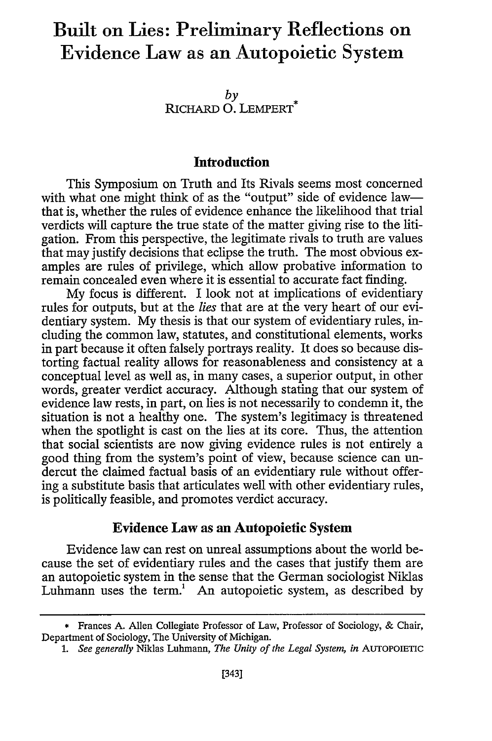# **Built on Lies: Preliminary Reflections on Evidence Law as an Autopoietic System**

*by* RICHARD **0.** LEMPERT\*

#### **Introduction**

This Symposium on Truth and Its Rivals seems most concerned with what one might think of as the "output" side of evidence lawthat is, whether the rules of evidence enhance the likelihood that trial verdicts will capture the true state of the matter giving rise to the litigation. From this perspective, the legitimate rivals to truth are values that may justify decisions that eclipse the truth. The most obvious examples are rules of privilege, which allow probative information to remain concealed even where it is essential to accurate fact finding.

**My** focus is different. I look not at implications of evidentiary rules for outputs, but at the *lies* that are at the very heart of our evidentiary system. **My** thesis is that our system of evidentiary rules, including the common law, statutes, and constitutional elements, works in part because it often falsely portrays reality. It does so because distorting factual reality allows for reasonableness and consistency at a conceptual level as well as, in many cases, a superior output, in other words, greater verdict accuracy. Although stating that our system of evidence law rests, in part, on lies is not necessarily to condemn it, the situation is not a healthy one. The system's legitimacy is threatened when the spotlight is cast on the lies at its core. Thus, the attention that social scientists are now giving evidence rules is not entirely a good thing from the system's point of view, because science can undercut the claimed factual basis of an evidentiary rule without offering a substitute basis that articulates well with other evidentiary rules, is politically feasible, and promotes verdict accuracy.

#### Evidence **Law** as **an Autopoietic System**

Evidence law can rest on unreal assumptions about the world because the set of evidentiary rules and the cases that justify them are an autopoietic system in the sense that the German sociologist Niklas Luhmann uses the term.<sup>1</sup> An autopoietic system, as described by

*1. See generally* Niklas Luhmann, *The Unity of the Legal System, in* **AuTOPOIETIC**

<sup>\*</sup> Frances **A.** Allen Collegiate Professor of Law, Professor of Sociology, & Chair, Department of Sociology, The University of Michigan.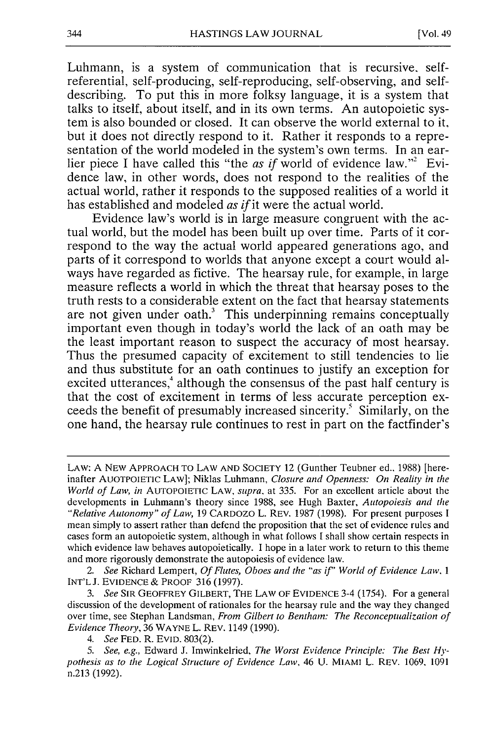Luhmann, is a system of communication that is recursive, selfreferential, self-producing, self-reproducing, self-observing, and selfdescribing. To put this in more folksy language, it is a system that talks to itself, about itself, and in its own terms. An autopoietic system is also bounded or closed. It can observe the world external to it, but it does not directly respond to it. Rather it responds to a representation of the world modeled in the system's own terms. In an earlier piece I have called this "the as if world of evidence law."<sup>2</sup> Evidence law, in other words, does not respond to the realities of the actual world, rather it responds to the supposed realities of a world it has established and modeled as *if* it were the actual world.

Evidence law's world is in large measure congruent with the actual world, but the model has been built up over time. Parts of it correspond to the way the actual world appeared generations ago, and parts of it correspond to worlds that anyone except a court would always have regarded as fictive. The hearsay rule, for example, in large measure reflects a world in which the threat that hearsay poses to the truth rests to a considerable extent on the fact that hearsay statements are not given under oath.<sup>3</sup> This underpinning remains conceptually important even though in today's world the lack of an oath may be the least important reason to suspect the accuracy of most hearsay. Thus the presumed capacity of excitement to still tendencies to lie and thus substitute for an oath continues to justify an exception for excited utterances,<sup>4</sup> although the consensus of the past half century is that the cost of excitement in terms of less accurate perception exceeds the benefit of presumably increased sincerity.' Similarly, on the one hand, the hearsay rule continues to rest in part on the factfinder's

LAW: A NEW APPROACH TO LAW AND SOCIETY 12 (Gunther Teubner ed., 1988) [hereinafter AUOTPOIETIC LAW]; Niklas Luhmann, *Closure and Openness: On Reality in the World of Law, in* AUTOPOIETIC LAW, *supra,* at 335. For an excellent article about the developments in Luhmann's theory since 1988, see Hugh Baxter, *Autopoiesis and the "Relative Autonomy" of Law,* 19 CARDOZO L. REV. 1987 (1998). For present purposes I mean simply to assert rather than defend the proposition that the set of evidence rules and cases form an autopoietic system, although in what follows I shall show certain respects in which evidence law behaves autopoietically. I hope in a later work to return to this theme and more rigorously demonstrate the autopoiesis of evidence law.

*<sup>2.</sup> See* Richard Lempert, *Of Flutes, Oboes and the "as if' World of Evidence Law. 1* INT'LJ. EVIDENCE & PROOF 316 (1997).

*<sup>3.</sup> See* SIR GEOFFREY GILBERT, THE LAW OF EVIDENCE 3-4 (1754). For a general discussion of the development of rationales for the hearsay rule and the way they changed over time, see Stephan Landsman, *From Gilbert to Bentham: The Reconceptualization of Evidence Theory,* 36 WAYNE L. REV. 1149 (1990).

*<sup>4.</sup> See* FED. R. EVID. 803(2).

*<sup>5.</sup> See, e.g.,* Edward J. Imwinkelried, *The Worst Evidence Principle: The Best Hypothesis as to the Logical Structure of Evidence Law,* 46 U. MIAMI L. REV. 1069. 1091 n.213 (1992).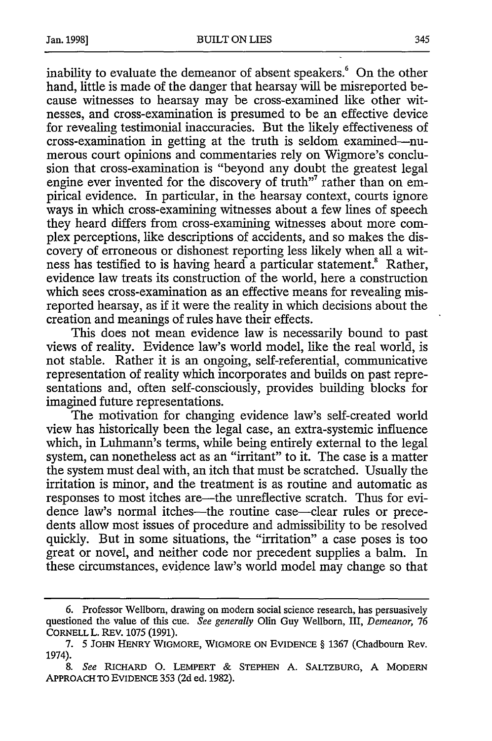inability to evaluate the demeanor of absent speakers.' On the other hand, little is made of the danger that hearsay will be misreported because witnesses to hearsay may be cross-examined like other witnesses, and cross-examination is presumed to be an effective device for revealing testimonial inaccuracies. But the likely effectiveness of cross-examination in getting at the truth is seldom examined-numerous court opinions and commentaries rely on Wigmore's conclusion that cross-examination is "beyond any doubt the greatest legal engine ever invented for the discovery of truth"<sup>7</sup> rather than on empirical evidence. In particular, in the hearsay context, courts ignore ways in which cross-examining witnesses about a few lines of speech they heard differs from cross-examining witnesses about more complex perceptions, like descriptions of accidents, and so makes the discovery of erroneous or dishonest reporting less likely when all a witness has testified to is having heard a particular statement.<sup>8</sup> Rather, evidence law treats its construction of the world, here a construction which sees cross-examination as an effective means for revealing misreported hearsay, as if it were the reality in which decisions about the creation and meanings of rules have their effects.

This does not mean evidence law is necessarily bound to past views of reality. Evidence law's world model, like the real world, is not stable. Rather it is an ongoing, self-referential, communicative representation of reality which incorporates and builds on past representations and, often self-consciously, provides building blocks for imagined future representations.

The motivation for changing evidence law's self-created world view has historically been the legal case, an extra-systemic influence which, in Luhmann's terms, while being entirely external to the legal system, can nonetheless act as an "irritant" to it. The case is a matter the system must deal with, an itch that must be scratched. Usually the irritation is minor, and the treatment is as routine and automatic as responses to most itches are—the unreflective scratch. Thus for evidence law's normal itches—the routine case—clear rules or precedents allow most issues of procedure and admissibility to be resolved quickly. But in some situations, the "irritation" a case poses is too great or novel, and neither code nor precedent supplies a balm. In these circumstances, evidence law's world model may change so that

**<sup>6.</sup>** Professor Wellborn, drawing on modem social science research, has persuasively questioned the value of this cue. *See generally* Olin Guy Wellborn, III, *Demeanor, 76* CORNELL L. REV. 1075 (1991).

<sup>7. 5</sup> JOHN HENRY WIGMORE, WIGMORE **ON** EVIDENCE **§** 1367 (Chadbourn Rev. 1974).

*<sup>8.</sup> See* RICHARD **0.** LEMPERT & STEPHEN A. SALTZBURG, A MODERN APPROACH TO EVIDENCE 353 (2d ed. 1982).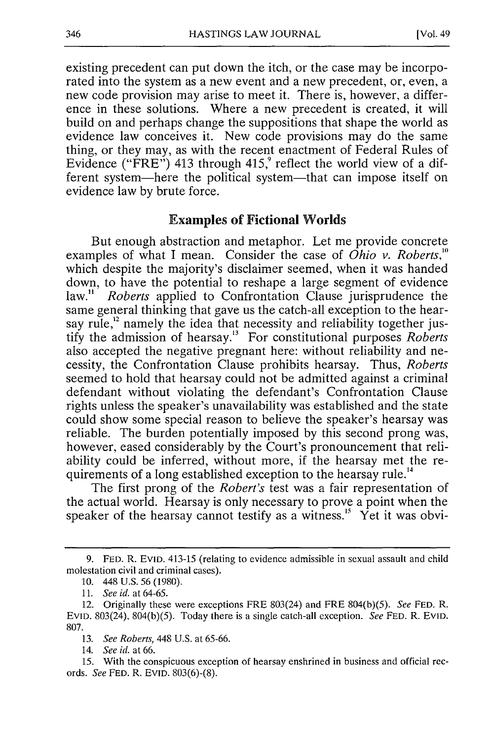existing precedent can put down the itch, or the case may be incorporated into the system as a new event and a new precedent, or, even, a new code provision may arise to meet it. There is, however, a difference in these solutions. Where a new precedent is created, it will build on and perhaps change the suppositions that shape the world as evidence law conceives it. New code provisions may do the same thing, or they may, as with the recent enactment of Federal Rules of Evidence (" $\overrightarrow{F}RE$ ") 413 through 415,<sup>9</sup> reflect the world view of a different system-here the political system-that can impose itself on evidence law by brute force.

#### **Examples of Fictional Worlds**

But enough abstraction and metaphor. Let me provide concrete examples of what I mean. Consider the case of *Ohio v. Roberts,"'* which despite the majority's disclaimer seemed, when it was handed down, to have the potential to reshape a large segment of evidence law." *Roberts* applied to Confrontation Clause jurisprudence the same general thinking that gave us the catch-all exception to the hearsay rule,<sup>12</sup> namely the idea that necessity and reliability together justify the admission of hearsay. 3 For constitutional purposes *Roberts* also accepted the negative pregnant here: without reliability and necessity, the Confrontation Clause prohibits hearsay. Thus, *Roberts* seemed to hold that hearsay could not be admitted against a criminal defendant without violating the defendant's Confrontation Clause rights unless the speaker's unavailability was established and the state could show some special reason to believe the speaker's hearsay was reliable. The burden potentially imposed by this second prong was, however, eased considerably by the Court's pronouncement that reliability could be inferred, without more, if the hearsay met the requirements of a long established exception to the hearsay rule.<sup>14</sup>

The first prong of the *Robert's* test was a fair representation of the actual world. Hearsay is only necessary to prove a point when the speaker of the hearsay cannot testify as a witness.<sup>15</sup> Yet it was obvi-

**<sup>9.</sup> FED.** R. EvID. 413-15 (relating to evidence admissible in sexual assault and child molestation civil and criminal cases).

<sup>10. 448</sup> U.S. 56 (1980).

*<sup>11.</sup> See id.* at 64-65.

<sup>12.</sup> Originally these were exceptions FRE 803(24) and FRE 804(b)(5). *See* **FED.** R. EVID. 803(24), 804(b)(5). Today there is a single catch-all exception. *See* FED. R. EvID. 807.

<sup>13.</sup> *See Roberts,* 448 U.S. at 65-66.

<sup>14.</sup> *See id.* at 66.

<sup>15.</sup> With the conspicuous exception of hearsay enshrined in business and official records. *See* **FED.** R. **EVID. 803(6)-(8).**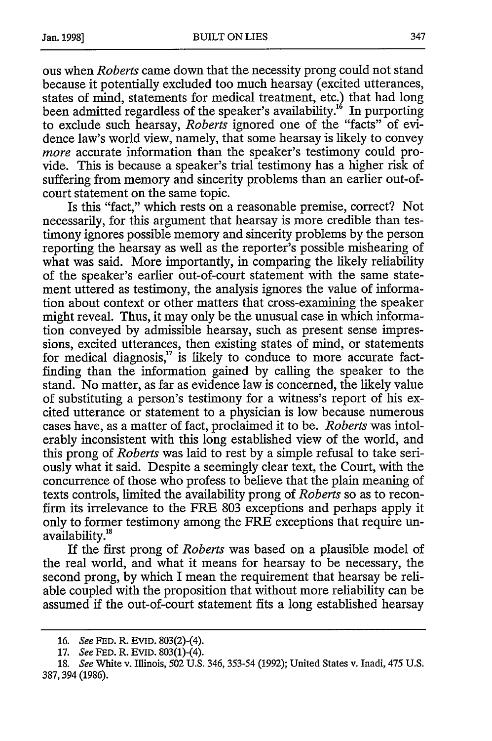ous when *Roberts* came down that the necessity prong could not stand because it potentially excluded too much hearsay (excited utterances, states of mind, statements for medical treatment, etc.) that had long been admitted regardless of the speaker's availability.<sup>16</sup> In purporting to exclude such hearsay, *Roberts* ignored one of the "facts" of evidence law's world view, namely, that some hearsay is likely to convey *more* accurate information than the speaker's testimony could provide. This is because a speaker's trial testimony has a higher risk of suffering from memory and sincerity problems than an earlier out-ofcourt statement on the same topic.

Is this "fact," which rests on a reasonable premise, correct? Not necessarily, for this argument that hearsay is more credible than testimony ignores possible memory and sincerity problems by the person reporting the hearsay as well as the reporter's possible mishearing of what was said. More importantly, in comparing the likely reliability of the speaker's earlier out-of-court statement with the same statement uttered as testimony, the analysis ignores the value of information about context or other matters that cross-examining the speaker might reveal. Thus, it may only be the unusual case in which information conveyed by admissible hearsay, such as present sense impressions, excited utterances, then existing states of mind, or statements for medical diagnosis, $17$  is likely to conduce to more accurate factfinding than the information gained by calling the speaker to the stand. No matter, as far as evidence law is concerned, the likely value of substituting a person's testimony for a witness's report of his excited utterance or statement to a physician is low because numerous cases have, as a matter of fact, proclaimed it to be. *Roberts* was intolerably inconsistent with this long established view of the world, and this prong of *Roberts* was laid to rest by a simple refusal to take seriously what it said. Despite a seemingly clear text, the Court, with the concurrence of those who profess to believe that the plain meaning of texts controls, limited the availability prong of *Roberts* so as to reconfirm its irrelevance to the FRE 803 exceptions and perhaps apply it only to former testimony among the FRE exceptions that require unavailability.<sup>18</sup>

If the first prong of *Roberts* was based on a plausible model of the real world, and what it means for hearsay to be necessary, the second prong, by which I mean the requirement that hearsay be reliable coupled with the proposition that without more reliability can be assumed if the out-of-court statement fits a long established hearsay

<sup>16.</sup> See **FED.** R. **EVID.** 803(2)-(4).

<sup>17.</sup> See **FED.** R. EVID. 803(1)-(4).

<sup>18.</sup> See White v. Illinois, 502 U.S. 346, 353-54 (1992); United States v. Inadi, 475 **U.S.** 387,394 (1986).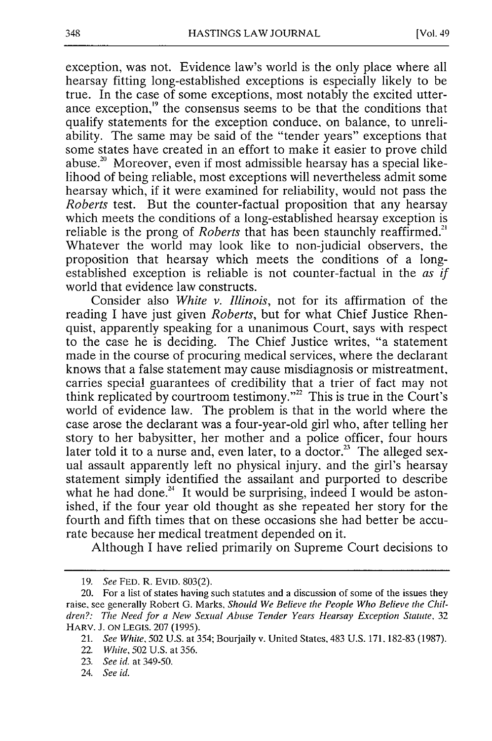exception, was not. Evidence law's world is the only place where all hearsay fitting long-established exceptions is especially likely to be true. In the case of some exceptions, most notably the excited utterance exception,<sup>19</sup> the consensus seems to be that the conditions that qualify statements for the exception conduce, on balance, to unreliability. The same may be said of the "tender years" exceptions that some states have created in an effort to make it easier to prove child abuse.<sup>20</sup> Moreover, even if most admissible hearsay has a special likelihood of being reliable, most exceptions will nevertheless admit some hearsay which, if it were examined for reliability, would not pass the *Roberts* test. But the counter-factual proposition that any hearsay which meets the conditions of a long-established hearsay exception is reliable is the prong of *Roberts* that has been staunchly reaffirmed.<sup>2</sup> Whatever the world may look like to non-judicial observers, the proposition that hearsay which meets the conditions of a longestablished exception is reliable is not counter-factual in the *as if* world that evidence law constructs.

Consider also *White v. Illinois,* not for its affirmation of the reading I have just given *Roberts,* but for what Chief Justice Rhenquist, apparently speaking for a unanimous Court, says with respect to the case he is deciding. The Chief Justice writes, "a statement made in the course of procuring medical services, where the declarant knows that a false statement may cause misdiagnosis or mistreatment, carries special guarantees of credibility that a trier of fact may not think replicated by courtroom testimony."<sup>22</sup> This is true in the Court's world of evidence law. The problem is that in the world where the case arose the declarant was a four-year-old girl who, after telling her story to her babysitter, her mother and a police officer, four hours later told it to a nurse and, even later, to a doctor.<sup>23</sup> The alleged sexual assault apparently left no physical injury, and the girl's hearsay statement simply identified the assailant and purported to describe what he had done.<sup>24</sup> It would be surprising, indeed I would be astonished, if the four year old thought as she repeated her story for the fourth and fifth times that on these occasions she had better be accurate because her medical treatment depended on it.

Although I have relied primarily on Supreme Court decisions to

<sup>19.</sup> *See* FED. R. EvID. 803(2).

<sup>20.</sup> For a list of states having such statutes and a discussion of some of the issues they raise, see generally Robert G. Marks, *Should We Believe the People Who Believe the Children?: The Need for a New Sexual Abuse Tender Years Hearsay Exception Statute, 32* HARV. J. **ON** LEGIS. 207 (1995).

<sup>21.</sup> *See White,* 502 U.S. at 354; Bourjaily v. United States, 483 U.S. 171. 182-83 (1987).

<sup>22.</sup> *White,* 502 U.S. at 356.

<sup>23.</sup> *See id.* at 349-50.

<sup>24.</sup> *See id.*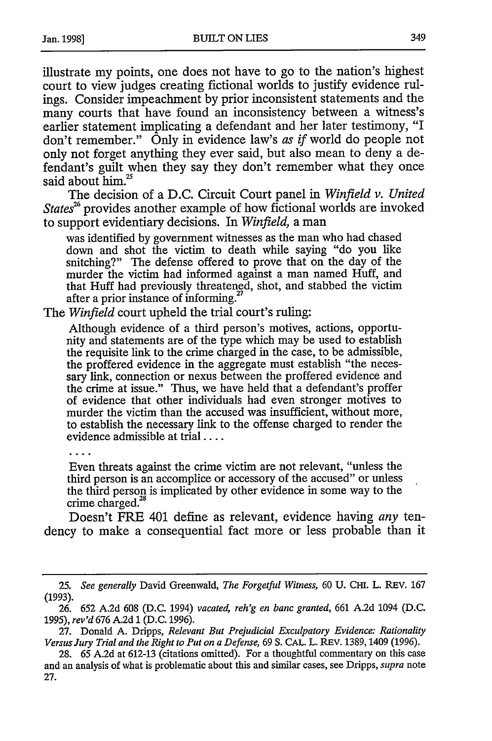illustrate my points, one does not have to go to the nation's highest court to view judges creating fictional worlds to justify evidence rulings. Consider impeachment by prior inconsistent statements and the many courts that have found an inconsistency between a witness's earlier statement implicating a defendant and her later testimony, "I don't remember." Only in evidence law's *as if* world do people not only not forget anything they ever said, but also mean to deny a defendant's guilt when they say they don't remember what they once said about him.<sup>25</sup>

The decision of a D.C. Circuit Court panel in *Winfield v. United State?* provides another example of how fictional worlds are invoked to support evidentiary decisions. In *Winfield,* a man

was identified by government witnesses as the man who had chased down and shot the victim to death while saying "do you like snitching?" The defense offered to prove that on the day of the murder the victim had informed against a man named Huff, and that Huff had previously threatengd, shot, and stabbed the victim after a prior instance of informing.<sup>2</sup>

The *Winfield* court upheld the trial court's ruling:

Although evidence of a third person's motives, actions, opportunity and statements are of the type which may be used to establish the requisite link to the crime charged in the case, to be admissible, the proffered evidence in the aggregate must establish "the necessary link, connection or nexus between the proffered evidence and the crime at issue." Thus, we have held that a defendant's proffer of evidence that other individuals had even stronger motives to murder the victim than the accused was insufficient, without more, to establish the necessary link to the offense charged to render the evidence admissible at trial ....

Even threats against the crime victim are not relevant, "unless the third person is an accomplice or accessory of the accused" or unless the third person is implicated by other evidence in some way to the crime charged.<sup>2</sup> 8

Doesn't FRE 401 define as relevant, evidence having *any* tendency to make a consequential fact more or less probable than it

<sup>25.</sup> *See generally* David Greenwald, *The Forgetful Witness,* 60 U. CHi. L. REV. 167 (1993).

<sup>26. 652</sup> A.2d 608 (D.C. 1994) *vacated, reh'g en banc granted,* 661 A.2d 1094 (D.C. 1995), *rev'd* 676 A.2d **1** (D.C. 1996).

<sup>27.</sup> Donald A. Dripps, *Relevant But Prejudicial Exculpatory Evidence: Rationality Versus Jury Trial and the Right to Put on a Defense,* 69 **S.** CAL. L. REV. 1389,1409 (1996).

<sup>28. 65</sup> A.2d at 612-13 (citations omitted). For a thoughtful commentary on this case and an analysis of what is problematic about this and similar cases, see Dripps, *supra* note 27.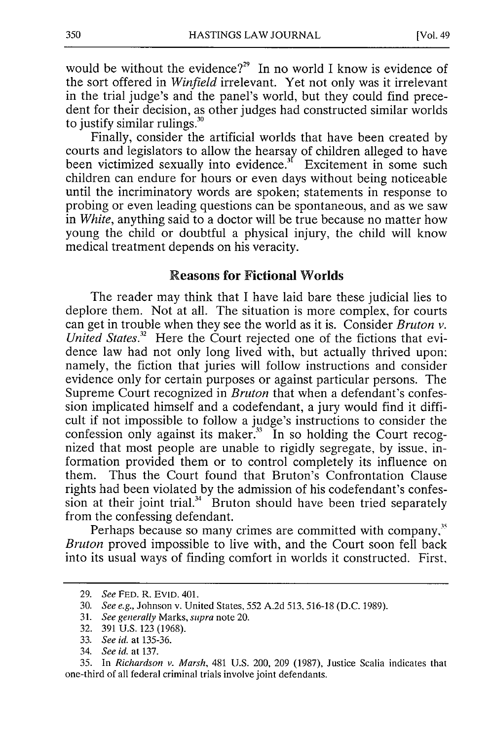would be without the evidence?<sup>29</sup> In no world I know is evidence of the sort offered in *Winfield* irrelevant. Yet not only was it irrelevant in the trial judge's and the panel's world, but they could find precedent for their decision, as other judges had constructed similar worlds to justify similar rulings."

Finally, consider the artificial worlds that have been created by courts and legislators to allow the hearsay of children alleged to have been victimized sexually into evidence.<sup>31</sup> Excitement in some such children can endure for hours or even days without being noticeable until the incriminatory words are spoken; statements in response to probing or even leading questions can be spontaneous, and as we saw in *White,* anything said to a doctor will be true because no matter how young the child or doubtful a physical injury, the child will know medical treatment depends on his veracity.

#### **Reasons for Fictional Worlds**

The reader may think that **I** have laid bare these judicial lies to deplore them. Not at all. The situation is more complex, for courts can get in trouble when they see the world as it is. Consider *Bruton v. United States.*<sup>32</sup> Here the Court rejected one of the fictions that evidence law had not only long lived with, but actually thrived upon: namely, the fiction that juries will follow instructions and consider evidence only for certain purposes or against particular persons. The Supreme Court recognized in *Bruton* that when a defendant's confession implicated himself and a codefendant, a jury would find it difficult if not impossible to follow a judge's instructions to consider the confession only against its maker. $33$  In so holding the Court recognized that most people are unable to rigidly segregate, **by** issue, information provided them or to control completely its influence on them. Thus the Court found that Bruton's Confrontation Clause rights had been violated **by** the admission of his codefendant's confession at their joint trial. $34 \times 10^{-10}$  Sruton should have been tried separately from the confessing defendant.

Perhaps because so many crimes are committed with company,<sup>35</sup> *Bruton* proved impossible to live with, and the Court soon fell back into its usual ways of finding comfort in worlds it constructed. First,

<sup>29.</sup> See FED. R. EVID. 401.

<sup>30.</sup> See e.g., Johnson v. United States, 552 A.2d 513.516-18 (D.C. 1989).

<sup>31.</sup> See generally Marks, *supra* note 20.

<sup>32. 391</sup> U.S. 123 (1968).

<sup>33.</sup> *See id.* at 135-36.

<sup>34.</sup> *See id.* at 137.

<sup>35.</sup> In *Richardson v. Marsh,* 481 U.S. 200, 209 (1987), Justice Scalia indicates that one-third of all federal criminal trials involve joint defendants.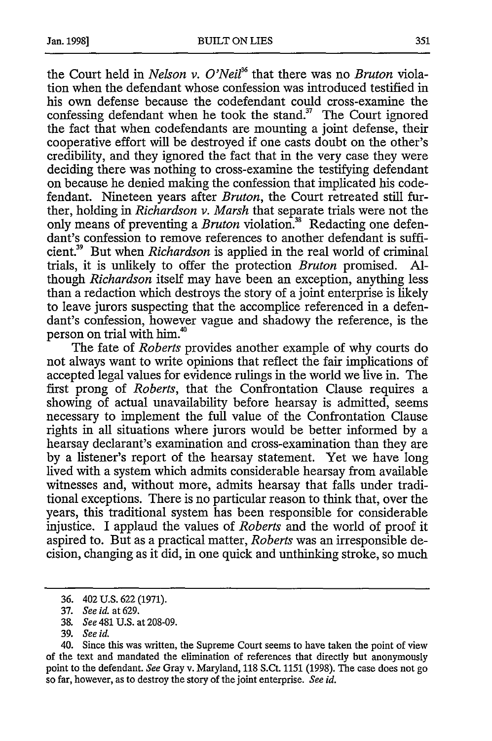the Court held in *Nelson v. O'Nei36* that there was no *Bruton* violation when the defendant whose confession was introduced testified in his own defense because the codefendant could cross-examine the confessing defendant when he took the stand. $3^7$  The Court ignored the fact that when codefendants are mounting a joint defense, their cooperative effort will be destroyed if one casts doubt on the other's credibility, and they ignored the fact that in the very case they were deciding there was nothing to cross-examine the testifying defendant on because he denied making the confession that implicated his codefendant. Nineteen years after *Bruton,* the Court retreated still further, holding in *Richardson v. Marsh* that separate trials were not the only means of preventing a *Bruton* violation.<sup>38</sup> Redacting one defendant's confession to remove references to another defendant is sufficient.39 But when *Richardson* is applied in the real world of criminal trials, it is unlikely to offer the protection *Bruton* promised. Although *Richardson* itself may have been an exception, anything less than a redaction which destroys the story of a joint enterprise is likely to leave jurors suspecting that the accomplice referenced in a defendant's confession, however vague and shadowy the reference, is the person on trial with him.<sup>40</sup>

The fate of *Roberts* provides another example of why courts do not always want to write opinions that reflect the fair implications of accepted legal values for evidence rulings in the world we live in. The first prong of *Roberts,* that the Confrontation Clause requires a showing of actual unavailability before hearsay is admitted, seems necessary to implement the full value of the Confrontation Clause rights in all situations where jurors would be better informed by a hearsay declarant's examination and cross-examination than they are by a listener's report of the hearsay statement. Yet we have long lived with a system which admits considerable hearsay from available witnesses and, without more, admits hearsay that falls under traditional exceptions. There is no particular reason to think that, over the years, this traditional system has been responsible for considerable injustice. I applaud the values of *Roberts* and the world of proof it aspired to. But as a practical matter, *Roberts* was an irresponsible decision, changing as it did, in one quick and unthinking stroke, so much

<sup>36. 402</sup> U.S. 622 (1971).

<sup>37.</sup> *See id.* at 629.

<sup>38.</sup> *See* 481 U.S. at 208-09.

<sup>39.</sup> *See id.*

<sup>40.</sup> Since this was written, the Supreme Court seems to have taken the point of view of the text and mandated the elimination of references that directly but anonymously point to the defendant. *See* Gray v. Maryland, 118 S.Ct. 1151 (1998). The case does not go so far, however, as to destroy the story of the joint enterprise. *See id.*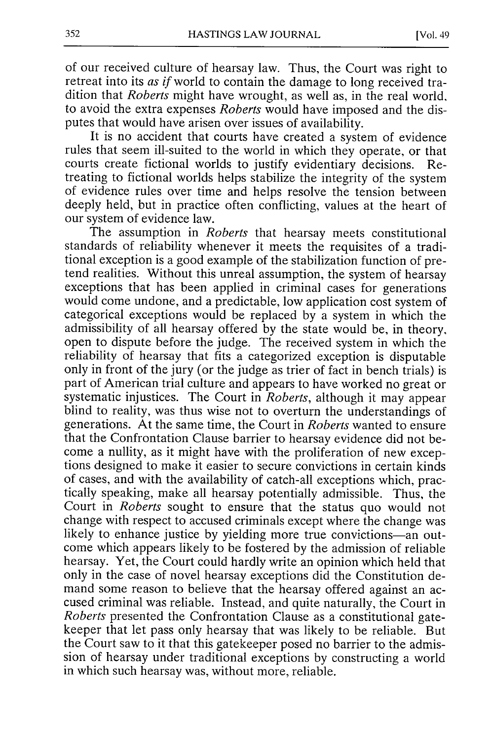of our received culture of hearsay law. Thus, the Court was right to retreat into its *as if* world to contain the damage to long received tradition that *Roberts* might have wrought, as well as, in the real world, to avoid the extra expenses *Roberts* would have imposed and the disputes that would have arisen over issues of availability.

It is no accident that courts have created a system of evidence rules that seem ill-suited to the world in which they operate, or that courts create fictional worlds to justify evidentiary decisions. Retreating to fictional worlds helps stabilize the integrity of the system of evidence rules over time and helps resolve the tension between deeply held, but in practice often conflicting, values at the heart of our system of evidence law.

The assumption in *Roberts* that hearsay meets constitutional standards of reliability whenever it meets the requisites of a traditional exception is a good example of the stabilization function of pretend realities. Without this unreal assumption, the system of hearsay exceptions that has been applied in criminal cases for generations would come undone, and a predictable, low application cost system of categorical exceptions would be replaced by a system in which the admissibility of all hearsay offered by the state would be, in theory, open to dispute before the judge. The received system in which the reliability of hearsay that fits a categorized exception is disputable only in front of the jury (or the judge as trier of fact in bench trials) is part of American trial culture and appears to have worked no great or systematic injustices. The Court in *Roberts,* although it may appear blind to reality, was thus wise not to overturn the understandings of generations. At the same time, the Court in *Roberts* wanted to ensure that the Confrontation Clause barrier to hearsay evidence did not become a nullity, as it might have with the proliferation of new exceptions designed to make it easier to secure convictions in certain kinds of cases, and with the availability of catch-all exceptions which, practically speaking, make all hearsay potentially admissible. Thus, the Court in *Roberts* sought to ensure that the status quo would not change with respect to accused criminals except where the change was likely to enhance justice by yielding more true convictions-an outcome which appears likely to be fostered by the admission of reliable hearsay. Yet, the Court could hardly write an opinion which held that only in the case of novel hearsay exceptions did the Constitution demand some reason to believe that the hearsay offered against an accused criminal was reliable. Instead, and quite naturally, the Court in *Roberts* presented the Confrontation Clause as a constitutional gatekeeper that let pass only hearsay that was likely to be reliable. But the Court saw to it that this gatekeeper posed no barrier to the admission of hearsay under traditional exceptions by constructing a world in which such hearsay was, without more, reliable.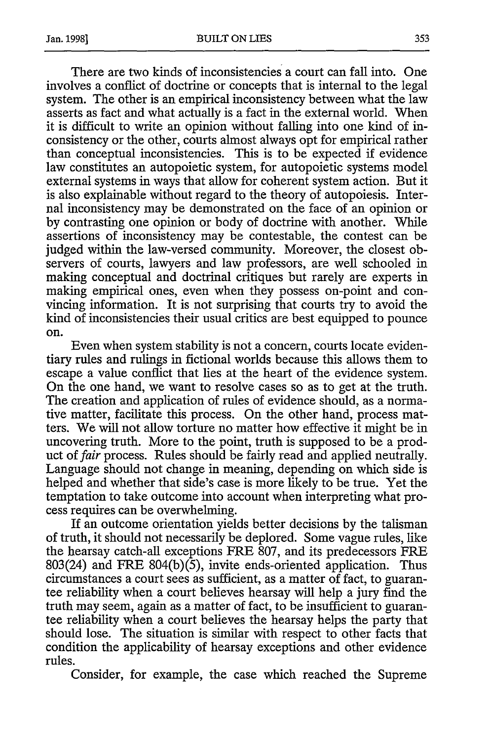There are two kinds of inconsistencies a court can fall into. One involves a conflict of doctrine or concepts that is internal to the legal system. The other is an empirical inconsistency between what the law asserts as fact and what actually is a fact in the external world. When it is difficult to write an opinion without falling into one kind of inconsistency or the other, courts almost always opt for empirical rather than conceptual inconsistencies. This is to be expected if evidence law constitutes an autopoietic system, for autopoietic systems model external systems in ways that allow for coherent system action. But it is also explainable without regard to the theory of autopoiesis. Internal inconsistency may be demonstrated on the face of an opinion or by contrasting one opinion or body of doctrine with another. While assertions of inconsistency may be contestable, the contest can be judged within the law-versed community. Moreover, the closest observers of courts, lawyers and law professors, are well schooled in making conceptual and doctrinal critiques but rarely are experts in making empirical ones, even when they possess on-point and convincing information. It is not surprising that courts try to avoid the kind of inconsistencies their usual critics are best equipped to pounce on.

Even when system stability is not a concern, courts locate evidentiary rules and rulings in fictional worlds because this allows them to escape a value conflict that lies at the heart of the evidence system. On the one hand, we want to resolve cases so as to get at the truth. The creation and application of rules of evidence should, as a normative matter, facilitate this process. On the other hand, process matters. We will not allow torture no matter how effective it might be in uncovering truth. More to the point, truth is supposed to be a product of *fair* process. Rules should be fairly read and applied neutrally. Language should not change in meaning, depending on which side is helped and whether that side's case is more likely to be true. Yet the temptation to take outcome into account when interpreting what process requires can be overwhelming.

If an outcome orientation yields better decisions by the talisman of truth, it should not necessarily be deplored. Some vague rules, like the hearsay catch-all exceptions FRE 807, and its predecessors FRE 803(24) and FRE  $804(b)(5)$ , invite ends-oriented application. Thus circumstances a court sees as sufficient, as a matter of fact, to guarantee reliability when a court believes hearsay will help a jury find the truth may seem, again as a matter of fact, to be insufficient to guarantee reliability when a court believes the hearsay helps the party that should lose. The situation is similar with respect to other facts that condition the applicability of hearsay exceptions and other evidence rules.

Consider, for example, the case which reached the Supreme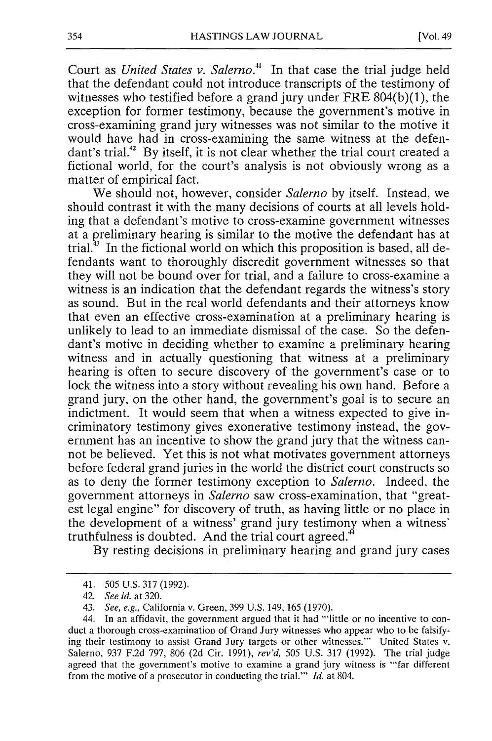Court as *United States v. Salerno."* In that case the trial judge held that the defendant could not introduce transcripts of the testimony of witnesses who testified before a grand jury under FRE 804(b)(1), the exception for former testimony, because the government's motive in cross-examining grand jury witnesses was not similar to the motive it would have had in cross-examining the same witness at the defendant's trial.<sup>42</sup> By itself, it is not clear whether the trial court created a fictional world, for the court's analysis is not obviously wrong as a matter of empirical fact.

We should not, however, consider *Salerno* by itself. Instead, we should contrast it with the many decisions of courts at all levels holding that a defendant's motive to cross-examine government witnesses at a preliminary hearing is similar to the motive the defendant has at trial.<sup>33</sup> In the fictional world on which this proposition is based, all defendants want to thoroughly discredit government witnesses so that they will not be bound over for trial, and a failure to cross-examine a witness is an indication that the defendant regards the witness's story as sound. But in the real world defendants and their attorneys know that even an effective cross-examination at a preliminary hearing is unlikely to lead to an immediate dismissal of the case. So the defendant's motive in deciding whether to examine a preliminary hearing witness and in actually questioning that witness at a preliminary hearing is often to secure discovery of the government's case or to lock the witness into a story without revealing his own hand. Before a grand jury, on the other hand, the government's goal is to secure an indictment. It would seem that when a witness expected to give incriminatory testimony gives exonerative testimony instead, the government has an incentive to show the grand jury that the witness cannot be believed. Yet this is not what motivates government attorneys before federal grand juries in the world the district court constructs so as to deny the former testimony exception to *Salerno.* Indeed, the government attorneys in *Salerno* saw cross-examination, that "greatest legal engine" for discovery of truth, as having little or no place in the development of a witness' grand jury testimony when a witness' truthfulness is doubted. And the trial court agreed.

By resting decisions in preliminary hearing and grand jury cases

<sup>41. 505</sup> U.S. 317 (1992).

*<sup>42.</sup> See id.* at 320.

<sup>43.</sup> *See, e.g.,* California v. Green, 399 U.S. 149, 165 (1970).

<sup>44.</sup> In an affidavit, the government argued that it had "'little or no incentive to conduct a thorough cross-examination of Grand Jury witnesses who appear who to be falsifying their testimony to assist Grand Jury targets or other witnesses."' United States v. Salerno, 937 F.2d 797, 806 (2d Cir. 1991), *rev'd,* 505 U.S. 317 (1992). The trial judge agreed that the government's motive to examine a grand jury witness is "'far different from the motive of a prosecutor in conducting the trial."' *Id.* at 804.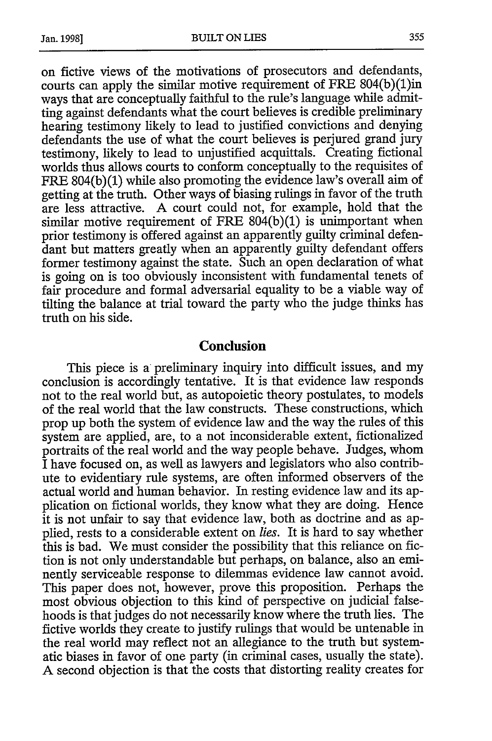on fictive views of the motivations of prosecutors and defendants, courts can apply the similar motive requirement of FRE 804(b)(1)in ways that are conceptually faithful to the rule's language while admitting against defendants what the court believes is credible preliminary hearing testimony likely to lead to justified convictions and denying defendants the use of what the court believes is perjured grand jury testimony, likely to lead to unjustified acquittals. Creating fictional worlds thus allows courts to conform conceptually to the requisites of FRE 804(b)(1) while also promoting the evidence law's overall aim of getting at the truth. Other ways of biasing rulings in favor of the truth are less attractive. A court could not, for example, hold that the similar motive requirement of FRE  $804(b)(1)$  is unimportant when prior testimony is offered against an apparently guilty criminal defendant but matters greatly when an apparently guilty defendant offers former testimony against the state. Such an open declaration of what is going on is too obviously inconsistent with fundamental tenets of fair procedure and formal adversarial equality to be a viable way of tilting the balance at trial toward the party who the judge thinks has truth on his side.

#### **Conclusion**

This piece is a preliminary inquiry into difficult issues, and my conclusion is accordingly tentative. It is that evidence law responds not to the real world but, as autopoietic theory postulates, to models of the real world that the law constructs. These constructions, which prop up both the system of evidence law and the way the rules of this system are applied, are, to a not inconsiderable extent, fictionalized portraits of the real world and the way people behave. Judges, whom I have focused on, as well as lawyers and legislators who also contribute to evidentiary rule systems, are often informed observers of the actual world and human behavior. In resting evidence law and its application on fictional worlds, they know what they are doing. Hence it is not unfair to say that evidence law, both as doctrine and as applied, rests to a considerable extent on *lies.* It is hard to say whether this is bad. We must consider the possibility that this reliance on fiction is not only understandable but perhaps, on balance, also an eminently serviceable response to dilemmas evidence law cannot avoid. This paper does not, however, prove this proposition. Perhaps the most obvious objection to this kind of perspective on judicial falsehoods is that judges do not necessarily know where the truth lies. The fictive worlds they create to justify rulings that would be untenable in the real world may reflect not an allegiance to the truth but systematic biases in favor of one party (in criminal cases, usually the state). A second objection is that the costs that distorting reality creates for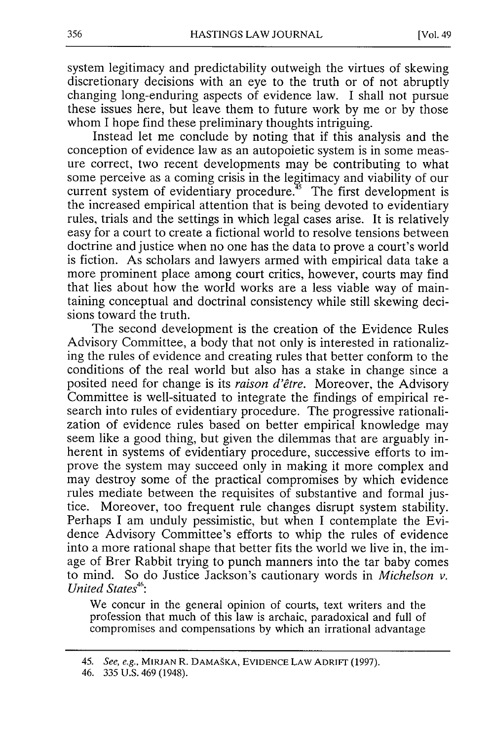system legitimacy and predictability outweigh the virtues of skewing discretionary decisions with an eye to the truth or of not abruptly changing long-enduring aspects of evidence law. I shall not pursue these issues here, but leave them to future work by me or by those whom I hope find these preliminary thoughts intriguing.

Instead let me conclude by noting that if this analysis and the conception of evidence law as an autopoietic system is in some measure correct, two recent developments may be contributing to what some perceive as a coming crisis in the legitimacy and viability of our current system of evidentiary procedure.<sup>35</sup> The first development is the increased empirical attention that is being devoted to evidentiary rules, trials and the settings in which legal cases arise. It is relatively easy for a court to create a fictional world to resolve tensions between doctrine and justice when no one has the data to prove a court's world is fiction. As scholars and lawyers armed with empirical data take a more prominent place among court critics, however, courts may find that lies about how the world works are a less viable way of maintaining conceptual and doctrinal consistency while still skewing decisions toward the truth.

The second development is the creation of the Evidence Rules Advisory Committee, a body that not only is interested in rationalizing the rules of evidence and creating rules that better conform to the conditions of the real world but also has a stake in change since a posited need for change is its *raison d'etre.* Moreover, the Advisory Committee is well-situated to integrate the findings of empirical research into rules of evidentiary procedure. The progressive rationalization of evidence rules based on better empirical knowledge may seem like a good thing, but given the dilemmas that are arguably inherent in systems of evidentiary procedure, successive efforts to improve the system may succeed only in making it more complex and may destroy some of the practical compromises by which evidence rules mediate between the requisites of substantive and formal justice. Moreover, too frequent rule changes disrupt system stability. Perhaps I am unduly pessimistic, but when I contemplate the Evidence Advisory Committee's efforts to whip the rules of evidence into a more rational shape that better fits the world we live in, the image of Brer Rabbit trying to punch manners into the tar baby comes to mind. So do Justice Jackson's cautionary words in *Michelson v. United States*<sup>46</sup>:

We concur in the general opinion of courts, text writers and the profession that much of this law is archaic, paradoxical and full of compromises and compensations by which an irrational advantage

<sup>45.</sup> See, e.g.. MIRJAN R. DAMAgKA, EVIDENCE **LAW** ADRIFT (1997).

<sup>46. 335</sup> U.S. 469 (1948).